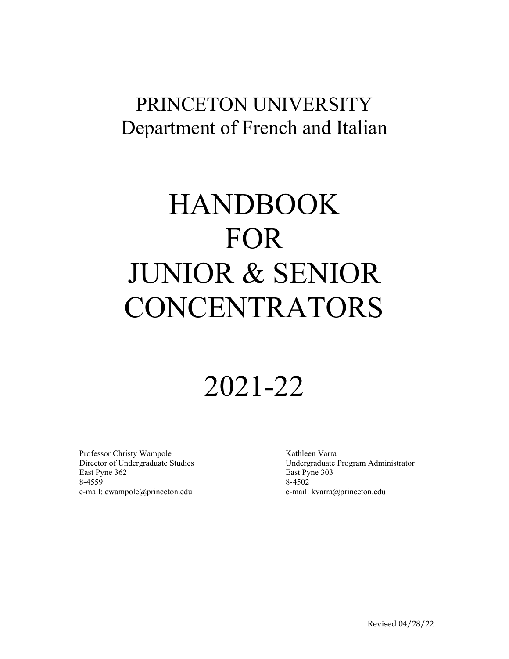## PRINCETON UNIVERSITY Department of French and Italian

# HANDBOOK FOR JUNIOR & SENIOR **CONCENTRATORS**

# 2021-22

Professor Christy Wampole Director of Undergraduate Studies East Pyne 362 8-4559 e-mail: cwampole@princeton.edu

Kathleen Varra Undergraduate Program Administrator East Pyne 303 8-4502 e-mail: kvarra@princeton.edu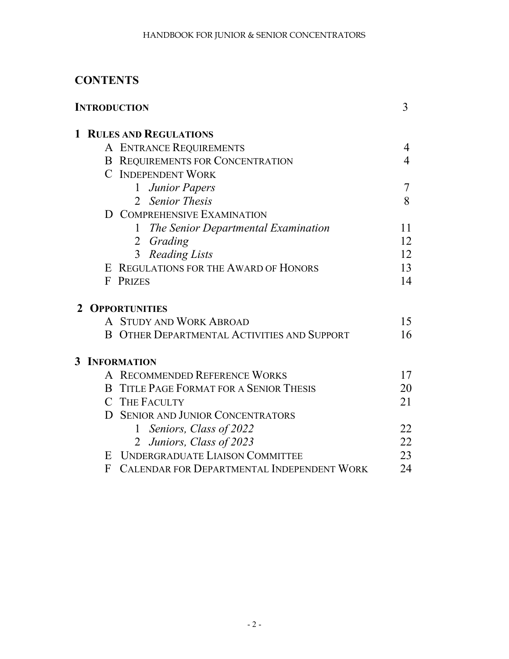## **CONTENTS**

| <b>INTRODUCTION</b> |   |                                                    | 3              |
|---------------------|---|----------------------------------------------------|----------------|
|                     |   | <b>1 RULES AND REGULATIONS</b>                     |                |
|                     |   | A ENTRANCE REQUIREMENTS                            | 4              |
|                     |   | <b>B REQUIREMENTS FOR CONCENTRATION</b>            | $\overline{4}$ |
|                     |   | <b>C</b> INDEPENDENT WORK                          |                |
|                     |   | 1 Junior Papers                                    | 7              |
|                     |   | 2 Senior Thesis                                    | 8              |
|                     | D | <b>COMPREHENSIVE EXAMINATION</b>                   |                |
|                     |   | The Senior Departmental Examination<br>1           | 11             |
|                     |   | 2 Grading                                          | 12             |
|                     |   | 3 <sup>1</sup><br><b>Reading Lists</b>             | 12             |
|                     |   | E REGULATIONS FOR THE AWARD OF HONORS              | 13             |
|                     | F | <b>PRIZES</b>                                      | 14             |
|                     |   | 2 OPPORTUNITIES                                    |                |
|                     |   | A STUDY AND WORK ABROAD                            | 15             |
|                     |   | <b>B OTHER DEPARTMENTAL ACTIVITIES AND SUPPORT</b> | 16             |
|                     |   | <b>3 INFORMATION</b>                               |                |
|                     |   | A RECOMMENDED REFERENCE WORKS                      | 17             |
|                     |   | <b>B</b> TITLE PAGE FORMAT FOR A SENIOR THESIS     | 20             |
|                     |   | C THE FACULTY                                      | 21             |
|                     | D | <b>SENIOR AND JUNIOR CONCENTRATORS</b>             |                |
|                     |   | 1 Seniors, Class of 2022                           | 22             |
|                     |   | 2 Juniors, Class of 2023                           | 22             |
|                     | E | <b>UNDERGRADUATE LIAISON COMMITTEE</b>             | 23             |
|                     | F | <b>CALENDAR FOR DEPARTMENTAL INDEPENDENT WORK</b>  | 24             |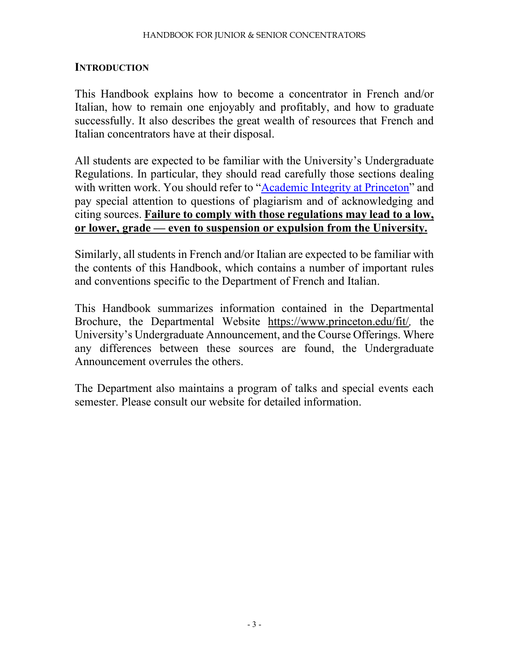#### **INTRODUCTION**

This Handbook explains how to become a concentrator in French and/or Italian, how to remain one enjoyably and profitably, and how to graduate successfully. It also describes the great wealth of resources that French and Italian concentrators have at their disposal.

All students are expected to be familiar with the University's Undergraduate Regulations. In particular, they should read carefully those sections dealing with written work. You should refer to ["Academic Integrity at Princeton"](https://pr.princeton.edu/pub/integrity/pages/intro/index.htm) and pay special attention to questions of plagiarism and of acknowledging and citing sources. **Failure to comply with those regulations may lead to a low, or lower, grade — even to suspension or expulsion from the University.**

Similarly, all students in French and/or Italian are expected to be familiar with the contents of this Handbook, which contains a number of important rules and conventions specific to the Department of French and Italian.

This Handbook summarizes information contained in the Departmental Brochure, the Departmental Website https://www.princeton.edu/fit/*,* the University's Undergraduate Announcement, and the Course Offerings. Where any differences between these sources are found, the Undergraduate Announcement overrules the others.

The Department also maintains a program of talks and special events each semester. Please consult our website for detailed information.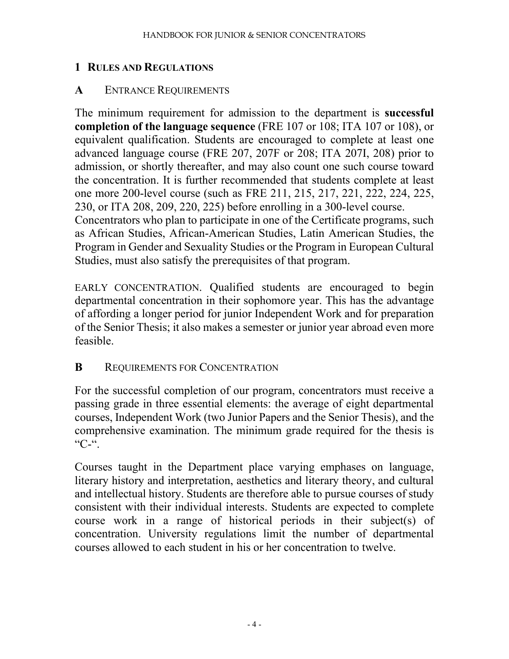#### **1 RULES AND REGULATIONS**

#### **A** ENTRANCE REQUIREMENTS

The minimum requirement for admission to the department is **successful completion of the language sequence** (FRE 107 or 108; ITA 107 or 108), or equivalent qualification. Students are encouraged to complete at least one advanced language course (FRE 207, 207F or 208; ITA 207I, 208) prior to admission, or shortly thereafter, and may also count one such course toward the concentration. It is further recommended that students complete at least one more 200-level course (such as FRE 211, 215, 217, 221, 222, 224, 225, 230, or ITA 208, 209, 220, 225) before enrolling in a 300-level course. Concentrators who plan to participate in one of the Certificate programs, such as African Studies, African-American Studies, Latin American Studies, the Program in Gender and Sexuality Studies or the Program in European Cultural Studies, must also satisfy the prerequisites of that program.

EARLY CONCENTRATION. Qualified students are encouraged to begin departmental concentration in their sophomore year. This has the advantage of affording a longer period for junior Independent Work and for preparation of the Senior Thesis; it also makes a semester or junior year abroad even more feasible.

#### **B** REQUIREMENTS FOR CONCENTRATION

For the successful completion of our program, concentrators must receive a passing grade in three essential elements: the average of eight departmental courses, Independent Work (two Junior Papers and the Senior Thesis), and the comprehensive examination. The minimum grade required for the thesis is "C-".

Courses taught in the Department place varying emphases on language, literary history and interpretation, aesthetics and literary theory, and cultural and intellectual history. Students are therefore able to pursue courses of study consistent with their individual interests. Students are expected to complete course work in a range of historical periods in their subject(s) of concentration. University regulations limit the number of departmental courses allowed to each student in his or her concentration to twelve.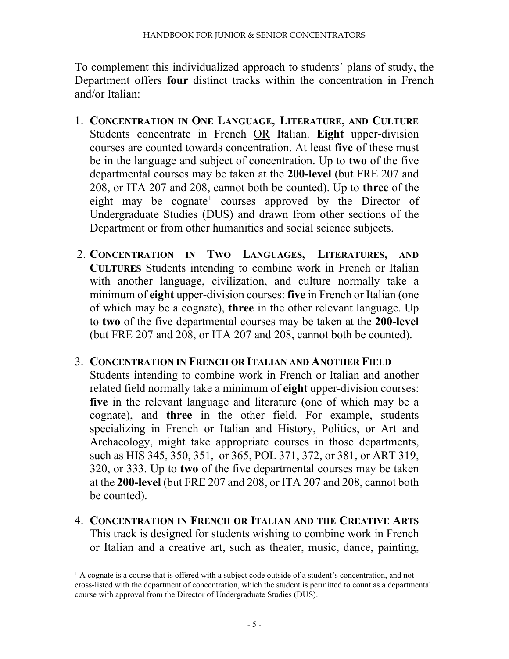To complement this individualized approach to students' plans of study, the Department offers **four** distinct tracks within the concentration in French and/or Italian:

- 1. **CONCENTRATION IN ONE LANGUAGE, LITERATURE, AND CULTURE**  Students concentrate in French OR Italian. **Eight** upper-division courses are counted towards concentration. At least **five** of these must be in the language and subject of concentration. Up to **two** of the five departmental courses may be taken at the **200-level** (but FRE 207 and 208, or ITA 207 and 208, cannot both be counted). Up to **three** of the eight may be cognate<sup>[1](#page-4-0)</sup> courses approved by the Director of Undergraduate Studies (DUS) and drawn from other sections of the Department or from other humanities and social science subjects.
- 2. **CONCENTRATION IN TWO LANGUAGES, LITERATURES, AND CULTURES** Students intending to combine work in French or Italian with another language, civilization, and culture normally take a minimum of **eight** upper-division courses: **five** in French or Italian (one of which may be a cognate), **three** in the other relevant language. Up to **two** of the five departmental courses may be taken at the **200-level**  (but FRE 207 and 208, or ITA 207 and 208, cannot both be counted).

#### 3. **CONCENTRATION IN FRENCH OR ITALIAN AND ANOTHER FIELD**

Students intending to combine work in French or Italian and another related field normally take a minimum of **eight** upper-division courses: **five** in the relevant language and literature (one of which may be a cognate), and **three** in the other field. For example, students specializing in French or Italian and History, Politics, or Art and Archaeology, might take appropriate courses in those departments, such as HIS 345, 350, 351, or 365, POL 371, 372, or 381, or ART 319, 320, or 333. Up to **two** of the five departmental courses may be taken at the **200-level** (but FRE 207 and 208, or ITA 207 and 208, cannot both be counted).

4. **CONCENTRATION IN FRENCH OR ITALIAN AND THE CREATIVE ARTS**  This track is designed for students wishing to combine work in French or Italian and a creative art, such as theater, music, dance, painting,

<span id="page-4-0"></span> $<sup>1</sup>$  A cognate is a course that is offered with a subject code outside of a student's concentration, and not</sup> cross-listed with the department of concentration, which the student is permitted to count as a departmental course with approval from the Director of Undergraduate Studies (DUS).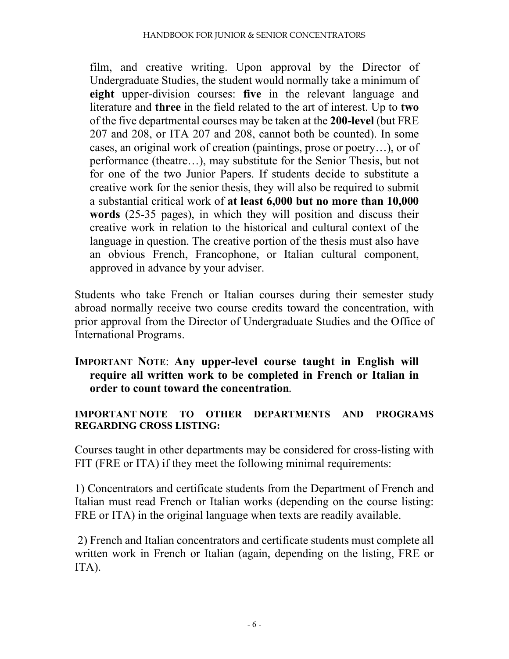film, and creative writing. Upon approval by the Director of Undergraduate Studies, the student would normally take a minimum of **eight** upper-division courses: **five** in the relevant language and literature and **three** in the field related to the art of interest. Up to **two** of the five departmental courses may be taken at the **200-level** (but FRE 207 and 208, or ITA 207 and 208, cannot both be counted). In some cases, an original work of creation (paintings, prose or poetry…), or of performance (theatre…), may substitute for the Senior Thesis, but not for one of the two Junior Papers. If students decide to substitute a creative work for the senior thesis, they will also be required to submit a substantial critical work of **at least 6,000 but no more than 10,000 words** (25-35 pages), in which they will position and discuss their creative work in relation to the historical and cultural context of the language in question. The creative portion of the thesis must also have an obvious French, Francophone, or Italian cultural component, approved in advance by your adviser.

Students who take French or Italian courses during their semester study abroad normally receive two course credits toward the concentration, with prior approval from the Director of Undergraduate Studies and the Office of International Programs.

#### **IMPORTANT NOTE**: **Any upper-level course taught in English will require all written work to be completed in French or Italian in order to count toward the concentration.**

#### **IMPORTANT NOTE TO OTHER DEPARTMENTS AND PROGRAMS REGARDING CROSS LISTING:**

Courses taught in other departments may be considered for cross-listing with FIT (FRE or ITA) if they meet the following minimal requirements:

1) Concentrators and certificate students from the Department of French and Italian must read French or Italian works (depending on the course listing: FRE or ITA) in the original language when texts are readily available.

2) French and Italian concentrators and certificate students must complete all written work in French or Italian (again, depending on the listing, FRE or ITA).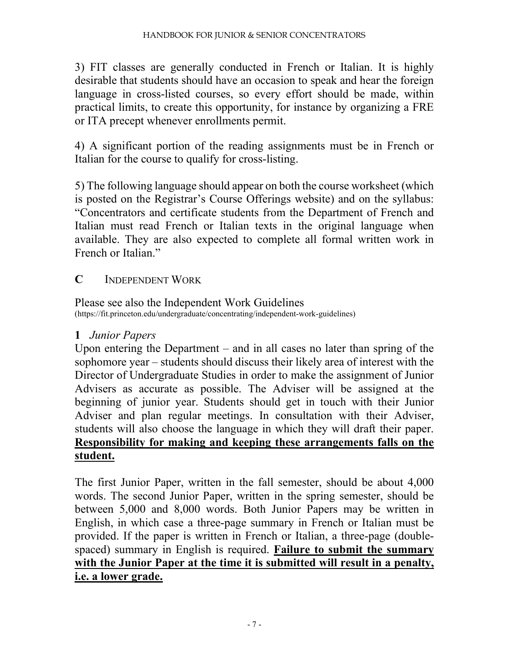3) FIT classes are generally conducted in French or Italian. It is highly desirable that students should have an occasion to speak and hear the foreign language in cross-listed courses, so every effort should be made, within practical limits, to create this opportunity, for instance by organizing a FRE or ITA precept whenever enrollments permit.

4) A significant portion of the reading assignments must be in French or Italian for the course to qualify for cross-listing.

5) The following language should appear on both the course worksheet (which is posted on the Registrar's Course Offerings website) and on the syllabus: "Concentrators and certificate students from the Department of French and Italian must read French or Italian texts in the original language when available. They are also expected to complete all formal written work in French or Italian."

#### **C** INDEPENDENT WORK

Please see also the Independent Work Guidelines (https://fit.princeton.edu/undergraduate/concentrating/independent-work-guidelines)

## **1** *Junior Papers*

Upon entering the Department – and in all cases no later than spring of the sophomore year – students should discuss their likely area of interest with the Director of Undergraduate Studies in order to make the assignment of Junior Advisers as accurate as possible. The Adviser will be assigned at the beginning of junior year. Students should get in touch with their Junior Adviser and plan regular meetings. In consultation with their Adviser, students will also choose the language in which they will draft their paper. **Responsibility for making and keeping these arrangements falls on the student.**

The first Junior Paper, written in the fall semester, should be about 4,000 words. The second Junior Paper, written in the spring semester, should be between 5,000 and 8,000 words. Both Junior Papers may be written in English, in which case a three-page summary in French or Italian must be provided. If the paper is written in French or Italian, a three-page (doublespaced) summary in English is required. **Failure to submit the summary with the Junior Paper at the time it is submitted will result in a penalty, i.e. a lower grade.**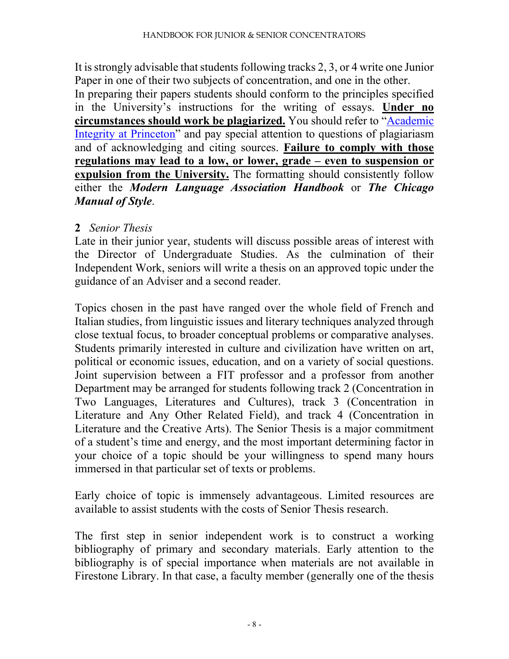It is strongly advisable that students following tracks 2, 3, or 4 write one Junior Paper in one of their two subjects of concentration, and one in the other.

In preparing their papers students should conform to the principles specified in the University's instructions for the writing of essays. **Under no circumstances should work be plagiarized.** You should refer to ["Academic](https://pr.princeton.edu/pub/integrity/pages/intro/index.htm)  [Integrity at Princeton"](https://pr.princeton.edu/pub/integrity/pages/intro/index.htm) and pay special attention to questions of plagiariasm and of acknowledging and citing sources. **Failure to comply with those regulations may lead to a low, or lower, grade – even to suspension or expulsion from the University.** The formatting should consistently follow either the *Modern Language Association Handbook* or *The Chicago Manual of Style*.

#### **2** *Senior Thesis*

Late in their junior year, students will discuss possible areas of interest with the Director of Undergraduate Studies. As the culmination of their Independent Work, seniors will write a thesis on an approved topic under the guidance of an Adviser and a second reader.

Topics chosen in the past have ranged over the whole field of French and Italian studies, from linguistic issues and literary techniques analyzed through close textual focus, to broader conceptual problems or comparative analyses. Students primarily interested in culture and civilization have written on art, political or economic issues, education, and on a variety of social questions. Joint supervision between a FIT professor and a professor from another Department may be arranged for students following track 2 (Concentration in Two Languages, Literatures and Cultures), track 3 (Concentration in Literature and Any Other Related Field), and track 4 (Concentration in Literature and the Creative Arts). The Senior Thesis is a major commitment of a student's time and energy, and the most important determining factor in your choice of a topic should be your willingness to spend many hours immersed in that particular set of texts or problems.

Early choice of topic is immensely advantageous. Limited resources are available to assist students with the costs of Senior Thesis research.

The first step in senior independent work is to construct a working bibliography of primary and secondary materials. Early attention to the bibliography is of special importance when materials are not available in Firestone Library. In that case, a faculty member (generally one of the thesis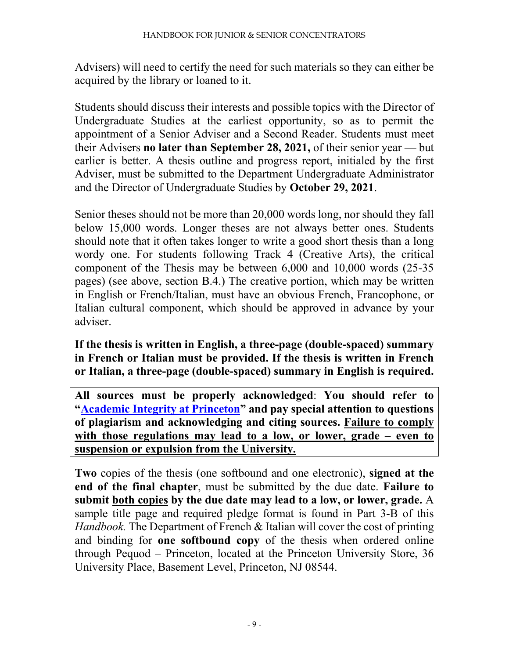Advisers) will need to certify the need for such materials so they can either be acquired by the library or loaned to it.

Students should discuss their interests and possible topics with the Director of Undergraduate Studies at the earliest opportunity, so as to permit the appointment of a Senior Adviser and a Second Reader. Students must meet their Advisers **no later than September 28, 2021,** of their senior year — but earlier is better. A thesis outline and progress report, initialed by the first Adviser, must be submitted to the Department Undergraduate Administrator and the Director of Undergraduate Studies by **October 29, 2021**.

Senior theses should not be more than 20,000 words long, nor should they fall below 15,000 words. Longer theses are not always better ones. Students should note that it often takes longer to write a good short thesis than a long wordy one. For students following Track 4 (Creative Arts), the critical component of the Thesis may be between 6,000 and 10,000 words (25-35 pages) (see above, section B.4.) The creative portion, which may be written in English or French/Italian, must have an obvious French, Francophone, or Italian cultural component, which should be approved in advance by your adviser.

**If the thesis is written in English, a three-page (double-spaced) summary in French or Italian must be provided. If the thesis is written in French or Italian, a three-page (double-spaced) summary in English is required.**

**All sources must be properly acknowledged**: **You should refer to ["Academic Integrity at Princeton"](https://pr.princeton.edu/pub/integrity/pages/intro/index.htm) and pay special attention to questions of plagiarism and acknowledging and citing sources. Failure to comply with those regulations may lead to a low, or lower, grade – even to suspension or expulsion from the University.**

**Two** copies of the thesis (one softbound and one electronic), **signed at the end of the final chapter**, must be submitted by the due date. **Failure to submit both copies by the due date may lead to a low, or lower, grade.** A sample title page and required pledge format is found in Part 3-B of this *Handbook.* The Department of French & Italian will cover the cost of printing and binding for **one softbound copy** of the thesis when ordered online through Pequod – Princeton, located at the Princeton University Store, 36 University Place, Basement Level, Princeton, NJ 08544.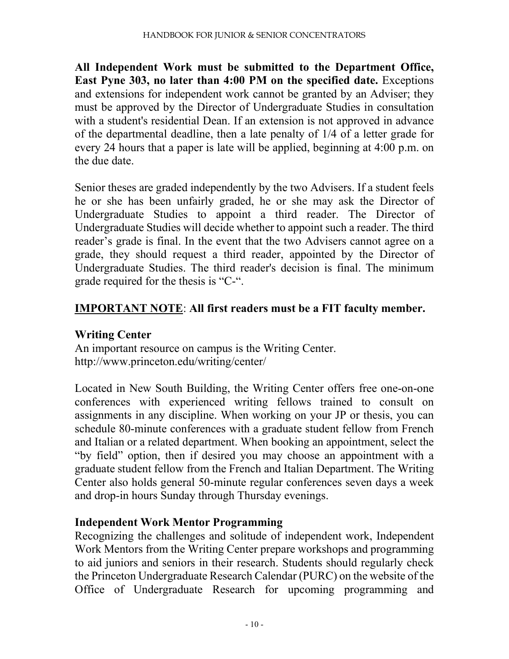**All Independent Work must be submitted to the Department Office, East Pyne 303, no later than 4:00 PM on the specified date.** Exceptions and extensions for independent work cannot be granted by an Adviser; they must be approved by the Director of Undergraduate Studies in consultation with a student's residential Dean. If an extension is not approved in advance of the departmental deadline, then a late penalty of 1/4 of a letter grade for every 24 hours that a paper is late will be applied, beginning at 4:00 p.m. on the due date.

Senior theses are graded independently by the two Advisers. If a student feels he or she has been unfairly graded, he or she may ask the Director of Undergraduate Studies to appoint a third reader. The Director of Undergraduate Studies will decide whether to appoint such a reader. The third reader's grade is final. In the event that the two Advisers cannot agree on a grade, they should request a third reader, appointed by the Director of Undergraduate Studies. The third reader's decision is final. The minimum grade required for the thesis is "C-".

## **IMPORTANT NOTE**: **All first readers must be a FIT faculty member.**

#### **Writing Center**

An important resource on campus is the Writing Center. http://www.princeton.edu/writing/center/

Located in New South Building, the Writing Center offers free one-on-one conferences with experienced writing fellows trained to consult on assignments in any discipline. When working on your JP or thesis, you can schedule 80-minute conferences with a graduate student fellow from French and Italian or a related department. When booking an appointment, select the "by field" option, then if desired you may choose an appointment with a graduate student fellow from the French and Italian Department. The Writing Center also holds general 50-minute regular conferences seven days a week and drop-in hours Sunday through Thursday evenings.

#### **Independent Work Mentor Programming**

Recognizing the challenges and solitude of independent work, Independent Work Mentors from the Writing Center prepare workshops and programming to aid juniors and seniors in their research. Students should regularly check the Princeton Undergraduate Research Calendar (PURC) on the website of the Office of Undergraduate Research for upcoming programming and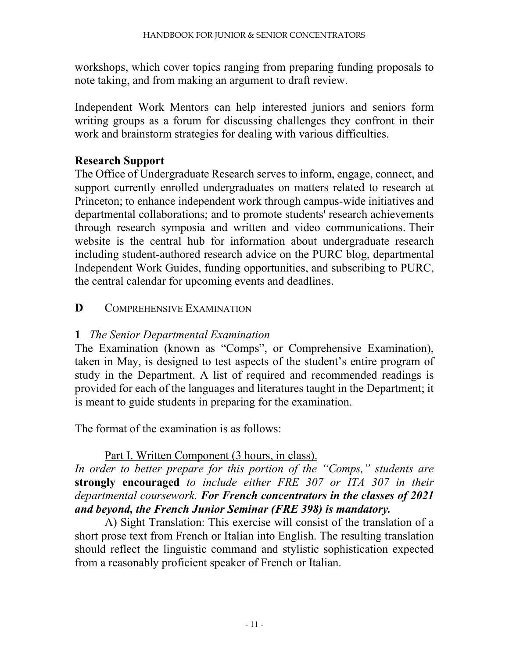workshops, which cover topics ranging from preparing funding proposals to note taking, and from making an argument to draft review.

Independent Work Mentors can help interested juniors and seniors form writing groups as a forum for discussing challenges they confront in their work and brainstorm strategies for dealing with various difficulties.

#### **Research Support**

The Office of Undergraduate Research serves to inform, engage, connect, and support currently enrolled undergraduates on matters related to research at Princeton; to enhance independent work through campus-wide initiatives and departmental collaborations; and to promote students' research achievements through research symposia and written and video communications. Their website is the central hub for information about undergraduate research including student-authored research advice on the PURC blog, departmental Independent Work Guides, funding opportunities, and subscribing to PURC, the central calendar for upcoming events and deadlines.

#### **D** COMPREHENSIVE EXAMINATION

#### **1** *The Senior Departmental Examination*

The Examination (known as "Comps", or Comprehensive Examination), taken in May, is designed to test aspects of the student's entire program of study in the Department. A list of required and recommended readings is provided for each of the languages and literatures taught in the Department; it is meant to guide students in preparing for the examination.

The format of the examination is as follows:

#### Part I. Written Component (3 hours, in class).

*In order to better prepare for this portion of the "Comps," students are*  **strongly encouraged** *to include either FRE 307 or ITA 307 in their departmental coursework. For French concentrators in the classes of 2021 and beyond, the French Junior Seminar (FRE 398) is mandatory.*

A) Sight Translation: This exercise will consist of the translation of a short prose text from French or Italian into English. The resulting translation should reflect the linguistic command and stylistic sophistication expected from a reasonably proficient speaker of French or Italian.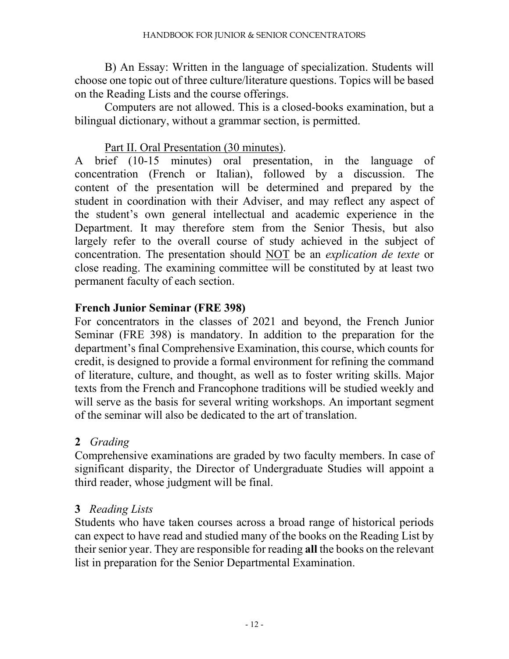B) An Essay: Written in the language of specialization. Students will choose one topic out of three culture/literature questions. Topics will be based on the Reading Lists and the course offerings.

Computers are not allowed. This is a closed-books examination, but a bilingual dictionary, without a grammar section, is permitted.

#### Part II. Oral Presentation (30 minutes).

A brief (10-15 minutes) oral presentation, in the language of concentration (French or Italian), followed by a discussion. The content of the presentation will be determined and prepared by the student in coordination with their Adviser, and may reflect any aspect of the student's own general intellectual and academic experience in the Department. It may therefore stem from the Senior Thesis, but also largely refer to the overall course of study achieved in the subject of concentration. The presentation should NOT be an *explication de texte* or close reading. The examining committee will be constituted by at least two permanent faculty of each section.

#### **French Junior Seminar (FRE 398)**

For concentrators in the classes of 2021 and beyond, the French Junior Seminar (FRE 398) is mandatory. In addition to the preparation for the department's final Comprehensive Examination, this course, which counts for credit, is designed to provide a formal environment for refining the command of literature, culture, and thought, as well as to foster writing skills. Major texts from the French and Francophone traditions will be studied weekly and will serve as the basis for several writing workshops. An important segment of the seminar will also be dedicated to the art of translation.

#### **2** *Grading*

Comprehensive examinations are graded by two faculty members. In case of significant disparity, the Director of Undergraduate Studies will appoint a third reader, whose judgment will be final.

#### **3** *Reading Lists*

Students who have taken courses across a broad range of historical periods can expect to have read and studied many of the books on the Reading List by their senior year. They are responsible for reading **all** the books on the relevant list in preparation for the Senior Departmental Examination.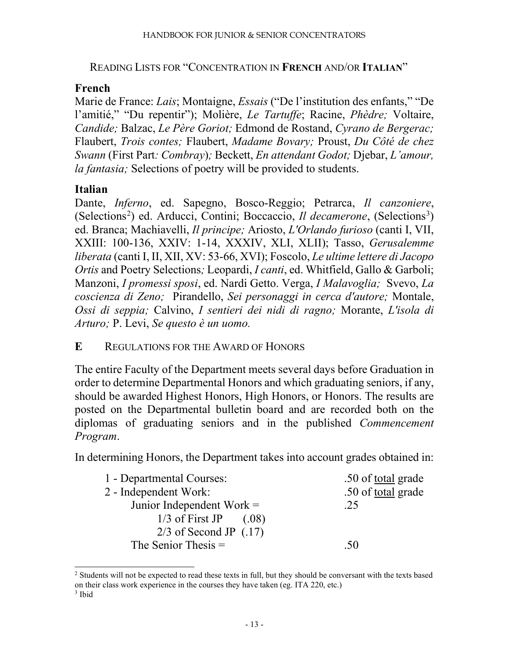#### READING LISTS FOR "CONCENTRATION IN **FRENCH** AND/OR **ITALIAN**"

#### **French**

Marie de France: *Lais*; Montaigne, *Essais* ("De l'institution des enfants," "De l'amitié," "Du repentir"); Molière, *Le Tartuffe*; Racine, *Phèdre;* Voltaire, *Candide;* Balzac, *Le Père Goriot;* Edmond de Rostand, *Cyrano de Bergerac;* Flaubert, *Trois contes;* Flaubert, *Madame Bovary;* Proust, *Du Côté de chez Swann* (First Part*: Combray*)*;* Beckett, *En attendant Godot;* Djebar, *L'amour, la fantasia;* Selections of poetry will be provided to students.

#### **Italian**

Dante, *Inferno*, ed. Sapegno, Bosco-Reggio; Petrarca, *Il canzoniere*, (Selections<sup>[2](#page-12-0)</sup>) ed. Arducci, Contini; Boccaccio, *Il decamerone*, (Selections<sup>[3](#page-12-1)</sup>) ed. Branca; Machiavelli, *Il principe;* Ariosto, *L'Orlando furioso* (canti I, VII, XXIII: 100-136, XXIV: 1-14, XXXIV, XLI, XLII); Tasso, *Gerusalemme liberata* (canti I, II, XII, XV: 53-66, XVI); Foscolo, *Le ultime lettere di Jacopo Ortis* and Poetry Selections*;* Leopardi, *I canti*, ed. Whitfield, Gallo & Garboli; Manzoni, *I promessi sposi*, ed. Nardi Getto. Verga, *I Malavoglia;* Svevo, *La coscienza di Zeno;* Pirandello, *Sei personaggi in cerca d'autore;* Montale, *Ossi di seppia;* Calvino, *I sentieri dei nidi di ragno;* Morante, *L'isola di Arturo;* P. Levi, *Se questo è un uomo.*

#### **E** REGULATIONS FOR THE AWARD OF HONORS

The entire Faculty of the Department meets several days before Graduation in order to determine Departmental Honors and which graduating seniors, if any, should be awarded Highest Honors, High Honors, or Honors. The results are posted on the Departmental bulletin board and are recorded both on the diplomas of graduating seniors and in the published *Commencement Program*.

In determining Honors, the Department takes into account grades obtained in:

| 1 - Departmental Courses:   | .50 of <u>total</u> grade |
|-----------------------------|---------------------------|
| 2 - Independent Work:       | .50 of total grade        |
| Junior Independent Work $=$ | .25                       |
| $1/3$ of First JP<br>(.08)  |                           |
| $2/3$ of Second JP $(.17)$  |                           |
| The Senior Thesis $=$       | .50                       |
|                             |                           |

<span id="page-12-0"></span><sup>&</sup>lt;sup>2</sup> Students will not be expected to read these texts in full, but they should be conversant with the texts based on their class work experience in the courses they have taken (eg. ITA 220, etc.)

<span id="page-12-1"></span><sup>3</sup> Ibid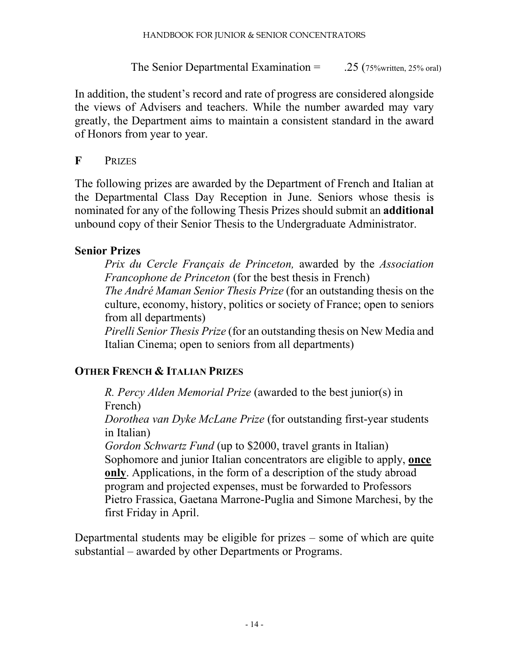The Senior Departmental Examination  $=$  .25 (75%written, 25% oral)

In addition, the student's record and rate of progress are considered alongside the views of Advisers and teachers. While the number awarded may vary greatly, the Department aims to maintain a consistent standard in the award of Honors from year to year.

#### **F** PRIZES

The following prizes are awarded by the Department of French and Italian at the Departmental Class Day Reception in June. Seniors whose thesis is nominated for any of the following Thesis Prizes should submit an **additional** unbound copy of their Senior Thesis to the Undergraduate Administrator.

#### **Senior Prizes**

*Prix du Cercle Français de Princeton,* awarded by the *Association Francophone de Princeton* (for the best thesis in French) *The André Maman Senior Thesis Prize* (for an outstanding thesis on the culture, economy, history, politics or society of France; open to seniors

from all departments)

*Pirelli Senior Thesis Prize* (for an outstanding thesis on New Media and Italian Cinema; open to seniors from all departments)

#### **OTHER FRENCH & ITALIAN PRIZES**

*R. Percy Alden Memorial Prize* (awarded to the best junior(s) in French)

*Dorothea van Dyke McLane Prize* (for outstanding first-year students in Italian)

*Gordon Schwartz Fund* (up to \$2000, travel grants in Italian) Sophomore and junior Italian concentrators are eligible to apply, **once only**. Applications, in the form of a description of the study abroad program and projected expenses, must be forwarded to Professors Pietro Frassica, Gaetana Marrone-Puglia and Simone Marchesi, by the first Friday in April.

Departmental students may be eligible for prizes – some of which are quite substantial – awarded by other Departments or Programs.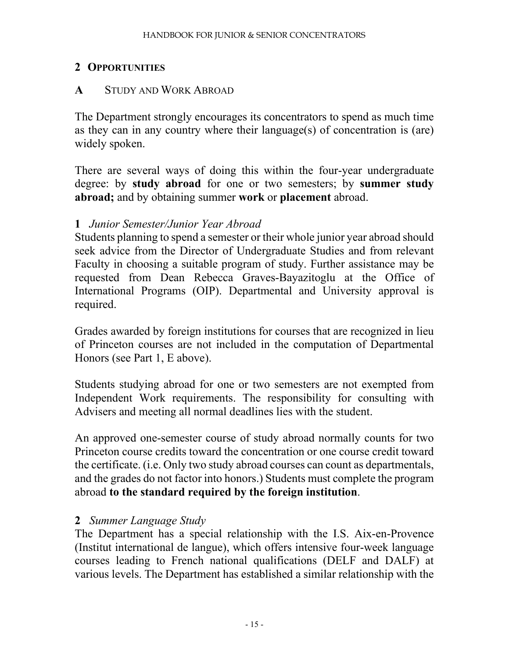#### **2 OPPORTUNITIES**

#### **A** STUDY AND WORK ABROAD

The Department strongly encourages its concentrators to spend as much time as they can in any country where their language(s) of concentration is (are) widely spoken.

There are several ways of doing this within the four-year undergraduate degree: by **study abroad** for one or two semesters; by **summer study abroad;** and by obtaining summer **work** or **placement** abroad.

#### **1** *Junior Semester/Junior Year Abroad*

Students planning to spend a semester or their whole junior year abroad should seek advice from the Director of Undergraduate Studies and from relevant Faculty in choosing a suitable program of study. Further assistance may be requested from Dean Rebecca Graves-Bayazitoglu at the Office of International Programs (OIP). Departmental and University approval is required.

Grades awarded by foreign institutions for courses that are recognized in lieu of Princeton courses are not included in the computation of Departmental Honors (see Part 1, E above).

Students studying abroad for one or two semesters are not exempted from Independent Work requirements. The responsibility for consulting with Advisers and meeting all normal deadlines lies with the student.

An approved one-semester course of study abroad normally counts for two Princeton course credits toward the concentration or one course credit toward the certificate. (i.e. Only two study abroad courses can count as departmentals, and the grades do not factor into honors.) Students must complete the program abroad **to the standard required by the foreign institution**.

#### **2** *Summer Language Study*

The Department has a special relationship with the I.S. Aix-en-Provence (Institut international de langue), which offers intensive four-week language courses leading to French national qualifications (DELF and DALF) at various levels. The Department has established a similar relationship with the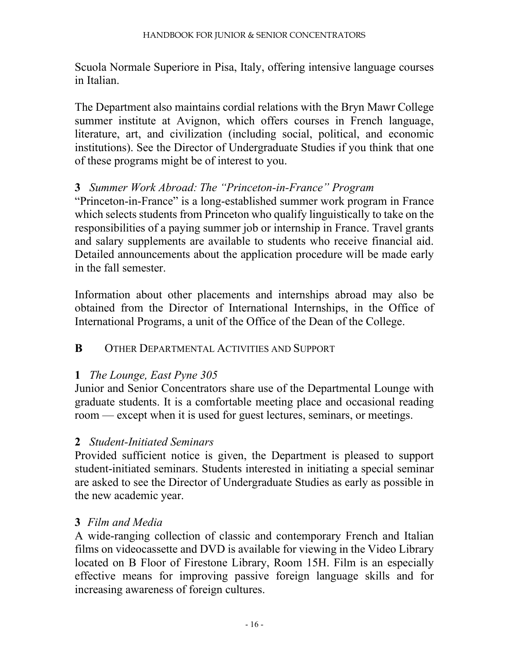Scuola Normale Superiore in Pisa, Italy, offering intensive language courses in Italian.

The Department also maintains cordial relations with the Bryn Mawr College summer institute at Avignon, which offers courses in French language, literature, art, and civilization (including social, political, and economic institutions). See the Director of Undergraduate Studies if you think that one of these programs might be of interest to you.

#### **3** *Summer Work Abroad: The "Princeton-in-France" Program*

"Princeton-in-France" is a long-established summer work program in France which selects students from Princeton who qualify linguistically to take on the responsibilities of a paying summer job or internship in France. Travel grants and salary supplements are available to students who receive financial aid. Detailed announcements about the application procedure will be made early in the fall semester.

Information about other placements and internships abroad may also be obtained from the Director of International Internships, in the Office of International Programs, a unit of the Office of the Dean of the College.

#### **B** OTHER DEPARTMENTAL ACTIVITIES AND SUPPORT

#### **1** *The Lounge, East Pyne 305*

Junior and Senior Concentrators share use of the Departmental Lounge with graduate students. It is a comfortable meeting place and occasional reading room — except when it is used for guest lectures, seminars, or meetings.

#### **2** *Student-Initiated Seminars*

Provided sufficient notice is given, the Department is pleased to support student-initiated seminars. Students interested in initiating a special seminar are asked to see the Director of Undergraduate Studies as early as possible in the new academic year.

#### **3** *Film and Media*

A wide-ranging collection of classic and contemporary French and Italian films on videocassette and DVD is available for viewing in the Video Library located on B Floor of Firestone Library, Room 15H. Film is an especially effective means for improving passive foreign language skills and for increasing awareness of foreign cultures.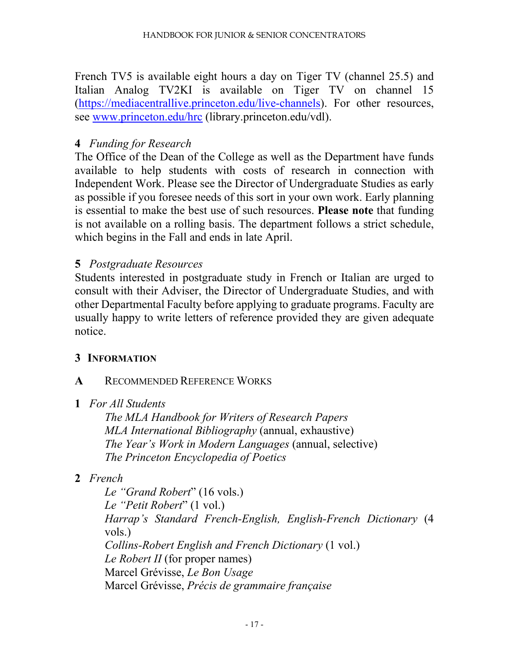French TV5 is available eight hours a day on Tiger TV (channel 25.5) and Italian Analog TV2KI is available on Tiger TV on channel 15 [\(https://mediacentrallive.princeton.edu/live-channels\)](https://mediacentrallive.princeton.edu/live-channels). For other resources, see [www.princeton.edu/hrc](http://www.princeton.edu/hrc) (library.princeton.edu/vdl).

#### **4** *Funding for Research*

The Office of the Dean of the College as well as the Department have funds available to help students with costs of research in connection with Independent Work. Please see the Director of Undergraduate Studies as early as possible if you foresee needs of this sort in your own work. Early planning is essential to make the best use of such resources. **Please note** that funding is not available on a rolling basis. The department follows a strict schedule, which begins in the Fall and ends in late April.

#### **5** *Postgraduate Resources*

Students interested in postgraduate study in French or Italian are urged to consult with their Adviser, the Director of Undergraduate Studies, and with other Departmental Faculty before applying to graduate programs. Faculty are usually happy to write letters of reference provided they are given adequate notice.

#### **3 INFORMATION**

#### **A** RECOMMENDED REFERENCE WORKS

#### **1** *For All Students*

*The MLA Handbook for Writers of Research Papers MLA International Bibliography* (annual, exhaustive) *The Year's Work in Modern Languages* (annual, selective) *The Princeton Encyclopedia of Poetics*

#### **2** *French*

*Le "Grand Robert*" (16 vols.) *Le "Petit Robert*" (1 vol.) *Harrap's Standard French-English, English-French Dictionary* (4 vols.) *Collins-Robert English and French Dictionary* (1 vol.) *Le Robert II* (for proper names) Marcel Grévisse, *Le Bon Usage* Marcel Grévisse, *Précis de grammaire française*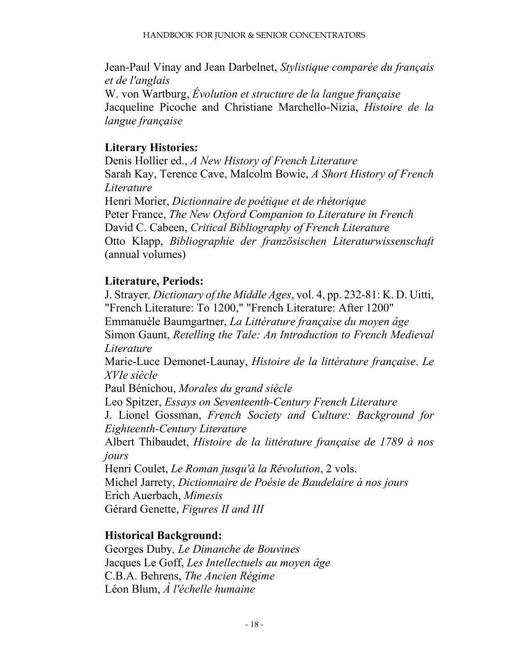Jean-Paul Vinay and Jean Darbelnet, *Stylistique comparée du français et de l'anglais* W. von Wartburg, *Évolution et structure de la langue française* Jacqueline Picoche and Christiane Marchello-Nizia, *Histoire de la langue française* 

### **Literary Histories:**

Denis Hollier ed., *A New History of French Literature* Sarah Kay, Terence Cave, Malcolm Bowie, *A Short History of French Literature* Henri Morier, *Dictionnaire de poétique et de rhétorique* Peter France, *The New Oxford Companion to Literature in French* David C. Cabeen, *Critical Bibliography of French Literature* Otto Klapp, *Bibliographie der französischen Literaturwissenschaft* (annual volumes)

#### **Literature, Periods:**

J. Strayer*, Dictionary of the Middle Ages*, vol. 4, pp. 232-81: K. D. Uitti, "French Literature: To 1200," "French Literature: After 1200" Emmanuèle Baumgartner, *La Littérature française du moyen âge* Simon Gaunt, *Retelling the Tale: An Introduction to French Medieval Literature*

Marie-Luce Demonet-Launay, *Histoire de la littérature française*. *Le XVIe siècle*

Paul Bénichou, *Morales du grand siècle*

Leo Spitzer, *Essays on Seventeenth-Century French Literature* J. Lionel Gossman, *French Society and Culture: Background for Eighteenth-Century Literature*

Albert Thibaudet, *Histoire de la littérature française de 1789 à nos jours*

Henri Coulet, *Le Roman jusqu'à la Révolution*, 2 vols. Michel Jarrety, *Dictionnaire de Poésie de Baudelaire à nos jours* Erich Auerbach, *Mimesis* Gérard Genette, *Figures II and III* 

#### **Historical Background:**

Georges Duby*, Le Dimanche de Bouvines* Jacques Le Goff, *Les Intellectuels au moyen âge* C.B.A. Behrens, *The Ancien Régime* Léon Blum, *À l'échelle humaine*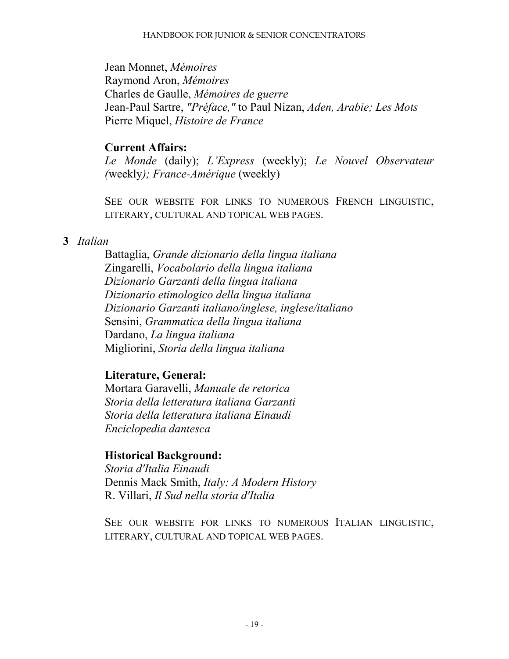Jean Monnet, *Mémoires* Raymond Aron, *Mémoires*  Charles de Gaulle, *Mémoires de guerre* Jean-Paul Sartre, *"Préface,"* to Paul Nizan, *Aden, Arabie; Les Mots* Pierre Miquel, *Histoire de France*

#### **Current Affairs:**

*Le Monde* (daily); *L'Express* (weekly); *Le Nouvel Observateur (*weekly*); France-Amérique* (weekly)

SEE OUR WEBSITE FOR LINKS TO NUMEROUS FRENCH LINGUISTIC, LITERARY, CULTURAL AND TOPICAL WEB PAGES.

#### **3** *Italian*

Battaglia, *Grande dizionario della lingua italiana* Zingarelli, *Vocabolario della lingua italiana Dizionario Garzanti della lingua italiana Dizionario etimologico della lingua italiana Dizionario Garzanti italiano/inglese, inglese/italiano* Sensini, *Grammatica della lingua italiana* Dardano, *La lingua italiana* Migliorini, *Storia della lingua italiana*

#### **Literature, General:**

Mortara Garavelli, *Manuale de retorica Storia della letteratura italiana Garzanti Storia della letteratura italiana Einaudi Enciclopedia dantesca*

#### **Historical Background:**

*Storia d'Italia Einaudi* Dennis Mack Smith, *Italy: A Modern History* R. Villari, *Il Sud nella storia d'Italia*

SEE OUR WEBSITE FOR LINKS TO NUMEROUS ITALIAN LINGUISTIC, LITERARY, CULTURAL AND TOPICAL WEB PAGES.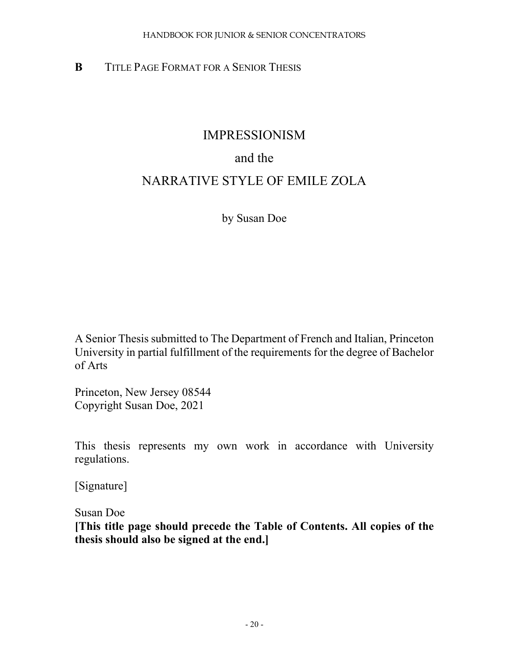#### **B** TITLE PAGE FORMAT FOR A SENIOR THESIS

## IMPRESSIONISM

## and the

## NARRATIVE STYLE OF EMILE ZOLA

by Susan Doe

A Senior Thesis submitted to The Department of French and Italian, Princeton University in partial fulfillment of the requirements for the degree of Bachelor of Arts

Princeton, New Jersey 08544 Copyright Susan Doe, 2021

This thesis represents my own work in accordance with University regulations.

[Signature]

Susan Doe

**[This title page should precede the Table of Contents. All copies of the thesis should also be signed at the end.]**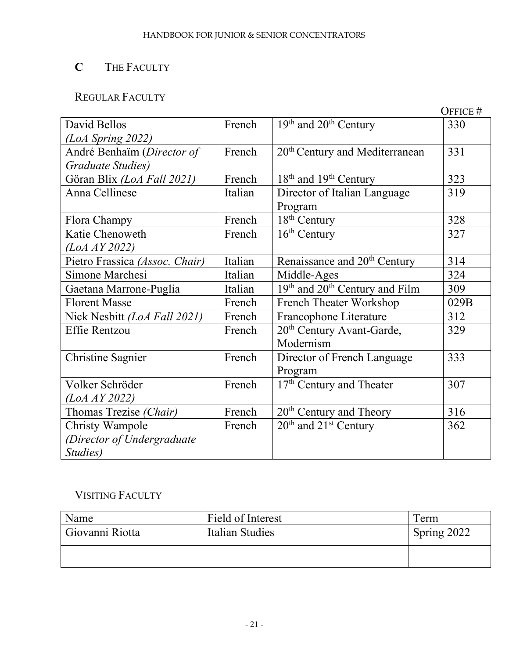## **C** THE FACULTY

## REGULAR FACULTY

|                                |         |                                                        | OFFICE # |
|--------------------------------|---------|--------------------------------------------------------|----------|
| David Bellos                   | French  | $19th$ and $20th$ Century                              | 330      |
| $(LoA$ Spring 2022)            |         |                                                        |          |
| André Benhaïm (Director of     | French  | $20th$ Century and Mediterranean                       | 331      |
| Graduate Studies)              |         |                                                        |          |
| Göran Blix (LoA Fall 2021)     | French  | $18th$ and $19th$ Century                              | 323      |
| Anna Cellinese                 | Italian | Director of Italian Language                           | 319      |
|                                |         | Program                                                |          |
| Flora Champy                   | French  | $18th$ Century                                         | 328      |
| Katie Chenoweth                | French  | $16th$ Century                                         | 327      |
| (LoA AY 2022)                  |         |                                                        |          |
| Pietro Frassica (Assoc. Chair) | Italian | Renaissance and 20 <sup>th</sup> Century               | 314      |
| Simone Marchesi                | Italian | Middle-Ages                                            | 324      |
| Gaetana Marrone-Puglia         | Italian | 19 <sup>th</sup> and 20 <sup>th</sup> Century and Film | 309      |
| <b>Florent Masse</b>           | French  | <b>French Theater Workshop</b>                         | 029B     |
| Nick Nesbitt (LoA Fall 2021)   | French  | Francophone Literature                                 | 312      |
| <b>Effie Rentzou</b>           | French  | 20 <sup>th</sup> Century Avant-Garde,                  | 329      |
|                                |         | Modernism                                              |          |
| <b>Christine Sagnier</b>       | French  | Director of French Language                            | 333      |
|                                |         | Program                                                |          |
| Volker Schröder                | French  | 17 <sup>th</sup> Century and Theater                   | 307      |
| (LoA AY 2022)                  |         |                                                        |          |
| Thomas Trezise (Chair)         | French  | $20th$ Century and Theory                              | 316      |
| <b>Christy Wampole</b>         | French  | $20th$ and $21st$ Century                              | 362      |
| (Director of Undergraduate     |         |                                                        |          |
| Studies)                       |         |                                                        |          |

## VISITING FACULTY

| Name            | Field of Interest | l erm       |
|-----------------|-------------------|-------------|
| Giovanni Riotta | Italian Studies   | Spring 2022 |
|                 |                   |             |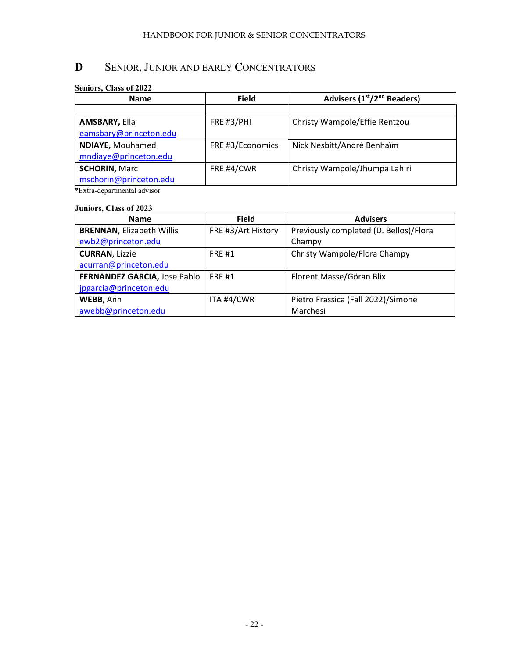## **D** SENIOR, JUNIOR AND EARLY CONCENTRATORS

#### **Seniors, Class of 2022**

| <b>Name</b>             | <b>Field</b>     | Advisers (1 <sup>st</sup> /2 <sup>nd</sup> Readers) |
|-------------------------|------------------|-----------------------------------------------------|
|                         |                  |                                                     |
| <b>AMSBARY, Ella</b>    | FRE #3/PHI       | Christy Wampole/Effie Rentzou                       |
| eamsbary@princeton.edu  |                  |                                                     |
| <b>NDIAYE, Mouhamed</b> | FRE #3/Economics | Nick Nesbitt/André Benhaïm                          |
| mndiaye@princeton.edu   |                  |                                                     |
| <b>SCHORIN, Marc</b>    | FRE #4/CWR       | Christy Wampole/Jhumpa Lahiri                       |
| mschorin@princeton.edu  |                  |                                                     |

\*Extra-departmental advisor

#### **Juniors, Class of 2023**

| <b>Name</b>                      | <b>Field</b>       | <b>Advisers</b>                        |
|----------------------------------|--------------------|----------------------------------------|
| <b>BRENNAN, Elizabeth Willis</b> | FRE #3/Art History | Previously completed (D. Bellos)/Flora |
| ewb2@princeton.edu               |                    | Champy                                 |
| <b>CURRAN, Lizzie</b>            | <b>FRE#1</b>       | Christy Wampole/Flora Champy           |
| acurran@princeton.edu            |                    |                                        |
| FERNANDEZ GARCIA, Jose Pablo     | <b>FRE#1</b>       | Florent Masse/Göran Blix               |
| jpgarcia@princeton.edu           |                    |                                        |
| WEBB, Ann                        | ITA #4/CWR         | Pietro Frassica (Fall 2022)/Simone     |
| awebb@princeton.edu              |                    | Marchesi                               |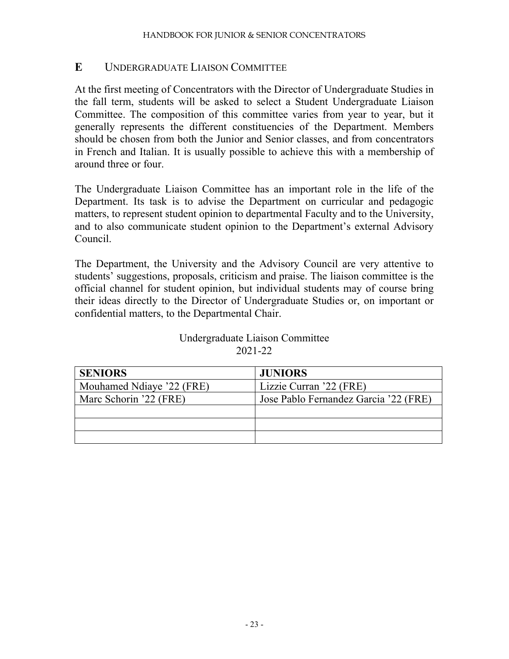#### **E** UNDERGRADUATE LIAISON COMMITTEE

At the first meeting of Concentrators with the Director of Undergraduate Studies in the fall term, students will be asked to select a Student Undergraduate Liaison Committee. The composition of this committee varies from year to year, but it generally represents the different constituencies of the Department. Members should be chosen from both the Junior and Senior classes, and from concentrators in French and Italian. It is usually possible to achieve this with a membership of around three or four.

The Undergraduate Liaison Committee has an important role in the life of the Department. Its task is to advise the Department on curricular and pedagogic matters, to represent student opinion to departmental Faculty and to the University, and to also communicate student opinion to the Department's external Advisory Council.

The Department, the University and the Advisory Council are very attentive to students' suggestions, proposals, criticism and praise. The liaison committee is the official channel for student opinion, but individual students may of course bring their ideas directly to the Director of Undergraduate Studies or, on important or confidential matters, to the Departmental Chair.

| Undergraduate Liaison Committee |
|---------------------------------|
| 2021-22                         |

| <b>SENIORS</b>            | <b>JUNIORS</b>                        |
|---------------------------|---------------------------------------|
| Mouhamed Ndiaye '22 (FRE) | Lizzie Curran '22 (FRE)               |
| Marc Schorin '22 (FRE)    | Jose Pablo Fernandez Garcia '22 (FRE) |
|                           |                                       |
|                           |                                       |
|                           |                                       |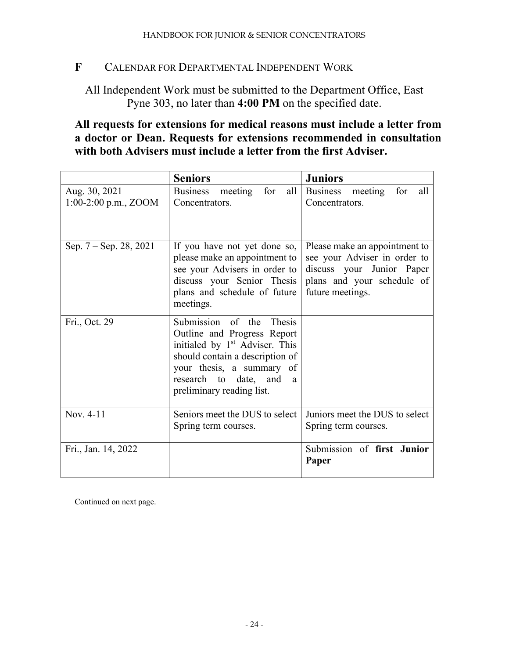#### **F** CALENDAR FOR DEPARTMENTAL INDEPENDENT WORK

All Independent Work must be submitted to the Department Office, East Pyne 303, no later than **4:00 PM** on the specified date.

#### **All requests for extensions for medical reasons must include a letter from a doctor or Dean. Requests for extensions recommended in consultation with both Advisers must include a letter from the first Adviser.**

|                                         | <b>Seniors</b>                                                                                                                                                                                                                      | <b>Juniors</b>                                                                                                                               |
|-----------------------------------------|-------------------------------------------------------------------------------------------------------------------------------------------------------------------------------------------------------------------------------------|----------------------------------------------------------------------------------------------------------------------------------------------|
| Aug. 30, 2021<br>$1:00-2:00$ p.m., ZOOM | meeting<br>for<br><b>Business</b><br>all<br>Concentrators.                                                                                                                                                                          | for<br>meeting<br><b>Business</b><br>all<br>Concentrators.                                                                                   |
| Sep. 7 – Sep. 28, 2021                  | If you have not yet done so,<br>please make an appointment to<br>see your Advisers in order to<br>discuss your Senior Thesis<br>plans and schedule of future<br>meetings.                                                           | Please make an appointment to<br>see your Adviser in order to<br>discuss your Junior Paper<br>plans and your schedule of<br>future meetings. |
| Fri., Oct. 29                           | Submission of the<br>Thesis<br>Outline and Progress Report<br>initialed by 1 <sup>st</sup> Adviser. This<br>should contain a description of<br>your thesis, a summary of<br>research to date, and<br>a<br>preliminary reading list. |                                                                                                                                              |
| Nov. 4-11                               | Seniors meet the DUS to select<br>Spring term courses.                                                                                                                                                                              | Juniors meet the DUS to select<br>Spring term courses.                                                                                       |
| Fri., Jan. 14, 2022                     |                                                                                                                                                                                                                                     | Submission of first Junior<br>Paper                                                                                                          |

Continued on next page.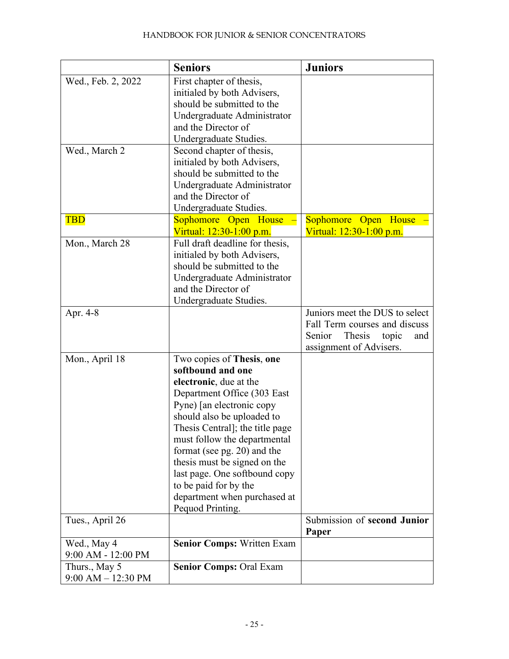|                                         | <b>Seniors</b>                                                                                                                                                                                                                                                                                                                                                                                                     | <b>Juniors</b>                                                                                                                 |
|-----------------------------------------|--------------------------------------------------------------------------------------------------------------------------------------------------------------------------------------------------------------------------------------------------------------------------------------------------------------------------------------------------------------------------------------------------------------------|--------------------------------------------------------------------------------------------------------------------------------|
| Wed., Feb. 2, 2022                      | First chapter of thesis,<br>initialed by both Advisers,<br>should be submitted to the<br>Undergraduate Administrator<br>and the Director of<br>Undergraduate Studies.                                                                                                                                                                                                                                              |                                                                                                                                |
| Wed., March 2                           | Second chapter of thesis,<br>initialed by both Advisers,<br>should be submitted to the<br>Undergraduate Administrator<br>and the Director of<br>Undergraduate Studies.                                                                                                                                                                                                                                             |                                                                                                                                |
| <b>TBD</b>                              | Sophomore Open House<br>Virtual: 12:30-1:00 p.m.                                                                                                                                                                                                                                                                                                                                                                   | Sophomore Open<br>House<br>Virtual: 12:30-1:00 p.m.                                                                            |
| Mon., March 28                          | Full draft deadline for thesis,<br>initialed by both Advisers,<br>should be submitted to the<br>Undergraduate Administrator<br>and the Director of<br>Undergraduate Studies.                                                                                                                                                                                                                                       |                                                                                                                                |
| Apr. 4-8                                |                                                                                                                                                                                                                                                                                                                                                                                                                    | Juniors meet the DUS to select<br>Fall Term courses and discuss<br>Senior<br>Thesis<br>topic<br>and<br>assignment of Advisers. |
| Mon., April 18                          | Two copies of Thesis, one<br>softbound and one<br>electronic, due at the<br>Department Office (303 East<br>Pyne) [an electronic copy<br>should also be uploaded to<br>Thesis Central]; the title page<br>must follow the departmental<br>format (see pg. 20) and the<br>thesis must be signed on the<br>last page. One softbound copy<br>to be paid for by the<br>department when purchased at<br>Pequod Printing. |                                                                                                                                |
| Tues., April 26                         |                                                                                                                                                                                                                                                                                                                                                                                                                    | Submission of second Junior<br>Paper                                                                                           |
| Wed., May 4<br>9:00 AM - 12:00 PM       | <b>Senior Comps: Written Exam</b>                                                                                                                                                                                                                                                                                                                                                                                  |                                                                                                                                |
| Thurs., May 5<br>$9:00$ AM $- 12:30$ PM | <b>Senior Comps: Oral Exam</b>                                                                                                                                                                                                                                                                                                                                                                                     |                                                                                                                                |